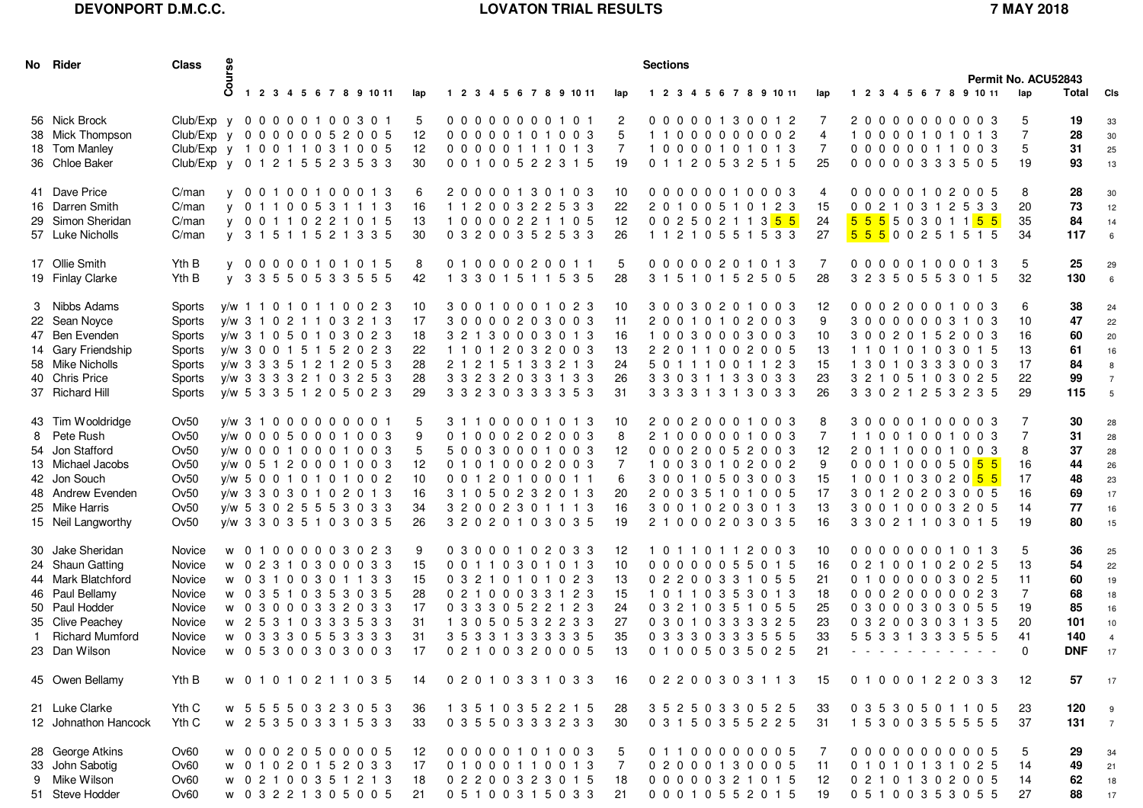## **DEVONPORT D.M.C.C.**

## **LOVATON TRIAL RESULTS 7 MAY 2018**

| No Rider                                                                                                                                                  | <b>Class</b>                                                                                                                                 | <b>Joa</b> |  |  |  |                                                                                                                                                                                                                                        |                                             |                                                                                                                                                                                                      |  |  |  |                                   |                                       | <b>Sections</b>                                                                                                                                              |  |  |  |  |  |  |  |                                              |                                                                                                 |  |  |  |  | Permit No. ACU52843 |                                                                                                                           |  |                                                        |                                                        |                                                                |
|-----------------------------------------------------------------------------------------------------------------------------------------------------------|----------------------------------------------------------------------------------------------------------------------------------------------|------------|--|--|--|----------------------------------------------------------------------------------------------------------------------------------------------------------------------------------------------------------------------------------------|---------------------------------------------|------------------------------------------------------------------------------------------------------------------------------------------------------------------------------------------------------|--|--|--|-----------------------------------|---------------------------------------|--------------------------------------------------------------------------------------------------------------------------------------------------------------|--|--|--|--|--|--|--|----------------------------------------------|-------------------------------------------------------------------------------------------------|--|--|--|--|---------------------|---------------------------------------------------------------------------------------------------------------------------|--|--------------------------------------------------------|--------------------------------------------------------|----------------------------------------------------------------|
|                                                                                                                                                           |                                                                                                                                              |            |  |  |  | 1 2 3 4 5 6 7 8 9 10 11                                                                                                                                                                                                                | lap                                         | 1 2 3 4 5 6 7 8 9 10 11                                                                                                                                                                              |  |  |  |                                   | lap                                   | 1 2 3 4 5 6 7 8 9 10 11                                                                                                                                      |  |  |  |  |  |  |  | lap                                          | 1 2 3 4 5 6 7 8 9 10 11                                                                         |  |  |  |  |                     |                                                                                                                           |  | lap                                                    | Total CIs                                              |                                                                |
| 56 Nick Brock<br>38 Mick Thompson<br>18 Tom Manley<br>36 Chloe Baker                                                                                      | Club/Exp y 0 0 0 0 0 1 0 0 3 0 1<br>Club/Exp y 0 0 0 0 0 0 5 2 0 0 5<br>Club/Exp y 1 0 0 1 1 0 3 1 0 0 5<br>Club/Exp y 0 1 2 1 5 5 2 3 5 3 3 |            |  |  |  |                                                                                                                                                                                                                                        | 5<br>12<br>12<br>30                         | 00000000101<br>00000101003<br>00000111013<br>0 0 1 0 0 5 2 2 3 1 5                                                                                                                                   |  |  |  |                                   | 2<br>5<br>7<br>19                     | 00000130012<br>11000000002<br>10000101013<br>0 1 1 2 0 5 3 2 5 1 5                                                                                           |  |  |  |  |  |  |  | 7<br>4<br>7<br>25                            | 10000101013                                                                                     |  |  |  |  |                     | 20000000003<br>00000011003<br>00000333505                                                                                 |  | 5<br>$\overline{7}$<br>5<br>19                         | 19<br>28<br>31<br>93                                   | 33<br>30<br>25<br>13                                           |
| 41 Dave Price<br>16 Darren Smith<br>29 Simon Sheridan<br>57 Luke Nicholls                                                                                 | C/man<br>C/man<br>C/man<br>C/man                                                                                                             |            |  |  |  | v 00100100013<br>v 0 1 1 0 0 5 3 1 1 1 3<br>v 00110221015<br>y 31511521335                                                                                                                                                             | 6<br>16<br>13<br>30                         | 20000130103<br>11200322533<br>10000221105<br>0 3 2 0 0 3 5 2 5 3 3                                                                                                                                   |  |  |  | 10<br>12                          | 22<br>26                              | 00000010003<br>20100510123<br>0 0 2 5 0 2 1 1 3 <mark>5 5</mark><br>1 1 2 1 0 5 5 1 5 3 3                                                                    |  |  |  |  |  |  |  | 4<br>15<br>24<br>27                          | 5 5 5 5 0 3 0 1 1 <mark>5 5</mark><br><mark>555</mark> 00251515                                 |  |  |  |  |                     | 00000102005<br>0 0 2 1 0 3 1 2 5 3 3                                                                                      |  | 8<br>20<br>35<br>34                                    | 28<br>73<br>84<br>117                                  | 30<br>12<br>14<br>$6\overline{6}$                              |
| 17 Ollie Smith<br>19 Finlay Clarke                                                                                                                        | Yth B<br>Yth B                                                                                                                               |            |  |  |  | v 00000101015<br>y 33550533555                                                                                                                                                                                                         | 8<br>42                                     | 01000020011<br>1 3 3 0 1 5 1 1 5 3 5                                                                                                                                                                 |  |  |  |                                   | 5<br>28                               | 00000201013<br>3 1 5 1 0 1 5 2 5 0 5                                                                                                                         |  |  |  |  |  |  |  | 7<br>28                                      | 3 2 3 5 0 5 5 3 0 1 5                                                                           |  |  |  |  |                     | 00000100013                                                                                                               |  | 5<br>32                                                | 25<br>130                                              | 29<br>$6\overline{6}$                                          |
| 3 Nibbs Adams<br>22 Sean Noyce<br>47 Ben Evenden<br>14 Gary Friendship<br>58 Mike Nicholls<br>40 Chris Price<br>37 Richard Hill                           | Sports<br>Sports<br>Sports<br>Sports<br>Sports<br>Sports<br>Sports                                                                           |            |  |  |  | y/w 1 1 0 1 0 1 1 0 0 2 3<br>y/w 3 1 0 2 1 1 0 3 2 1 3<br>y/w 3 1 0 5 0 1 0 3 0 2 3<br>y/w 3 0 0 1 5 1 5 2 0 2 3<br>y/w 3 3 3 5 1 2 1 2 0 5 3<br>y/w 3 3 3 3 2 1 0 3 2 5 3<br>y/w 5 3 3 5 1 2 0 5 0 2 3                                | 10<br>17<br>18<br>22<br>28<br>28<br>29      | 3 0 0 1 0 0 0 1 0 2 3<br>30000203003<br>3 2 1 3 0 0 0 3 0 1 3<br>11012032003<br>2 1 2 1 5 1 3 3 2 1 3<br>3 3 2 3 2 0 3 3 1 3 3<br>3 3 2 3 0 3 3 3 3 5 3                                              |  |  |  | 10<br>11<br>16<br>13<br>-31       | 24<br>26                              | 30030201003<br>20010102003<br>10030003003<br>2 2 0 1 1 0 0 2 0 0 5<br>5 0 1 1 1 0 0 1 1 2 3<br>3 3 0 3 1 1 3 3 0 3 3<br>3 3 3 3 1 3 1 3 0 3 3                |  |  |  |  |  |  |  | 12<br>9<br>10<br>13<br>15<br>23<br>26        | 11010103015<br>1 3 0 1 0 3 3 3 0 0 3<br>3 3 0 2 1 2 5 3 2 3 5                                   |  |  |  |  |                     | 00020001003<br>30000003103<br>30020152003<br>3 2 1 0 5 1 0 3 0 2 5                                                        |  | 6<br>10<br>16<br>13<br>17<br>22<br>29                  | 38<br>47<br>60<br>61<br>84<br>99<br>115                | 24<br>22<br>20<br>16<br>8<br>$\overline{7}$<br>$5\phantom{.0}$ |
| 43 Tim Wooldridge<br>8 Pete Rush<br>54 Jon Stafford<br>13 Michael Jacobs<br>42 Jon Souch<br>48 Andrew Evenden<br>25 Mike Harris<br>15 Neil Langworthy     | Ov50<br>Ov50<br>Ov50<br>Ov50<br>Ov50<br>Ov50<br>Ov50<br>Ov50                                                                                 |            |  |  |  | $V/W$ 3 1 0 0 0 0 0 0 0 0 1<br>v/w 0 0 0 5 0 0 0 1 0 0 3<br>y/w 0 0 0 1 0 0 0 1 0 0 3<br>y/w 0 5 1 2 0 0 0 1 0 0 3<br>y/w 5 0 0 1 0 1 0 1 0 0 2<br>y/w 3 3 0 3 0 1 0 2 0 1 3<br>y/w 5 3 0 2 5 5 5 3 0 3 3<br>y/w 3 3 0 3 5 1 0 3 0 3 5 | 5<br>9<br>5<br>12<br>10<br>16<br>34<br>26   | 3 1 1 0 0 0 0 1 0 1 3<br>01000202003<br>50030001003<br>01010002003<br>00120100011<br>3 1 0 5 0 2 3 2 0 1 3<br>3 2 0 0 2 3 0 1 1 1 3<br>3 2 0 2 0 1 0 3 0 3 5                                         |  |  |  | 12<br>6<br>16                     | 10<br>8<br>$\overline{7}$<br>20<br>19 | 20020001003<br>21000001003<br>00020052003<br>10030102002<br>30010503003<br>20035101005<br>3 0 0 1 0 2 0 3 0 1 3<br>21000203035                               |  |  |  |  |  |  |  | 8<br>7<br>12<br>9<br>15<br>17<br>13<br>16    | 11001001003<br>100103020 <mark>55</mark><br>30120203005<br>30010003205<br>3 3 0 2 1 1 0 3 0 1 5 |  |  |  |  |                     | 30000100003<br>20110001003<br>0 0 0 1 0 0 0 5 0 <mark>5 5</mark>                                                          |  | 7<br>7<br>8<br>16<br>17<br>16<br>14<br>19              | 30<br>31<br>37<br>44<br>48<br>69<br>77<br>80           | 28<br>28<br>28<br>26<br>23<br>17<br>16<br>15                   |
| 30 Jake Sheridan<br>24 Shaun Gatting<br>44 Mark Blatchford<br>46 Paul Bellamy<br>50 Paul Hodder<br>35 Clive Peachey<br>1 Richard Mumford<br>23 Dan Wilson | Novice<br>Novice<br>Novice<br>Novice<br>Novice<br>Novice<br>Novice<br>Novice                                                                 |            |  |  |  | w 01000003023<br>w 02310300033<br>w 03100301133<br>w 0 3 5 1 0 3 5 3 0 3 5<br>w 03000332033<br>w 25310333533<br>w 03330553333<br>w 05300303003                                                                                         | 9<br>15<br>15<br>28<br>17<br>31<br>31<br>17 | 0 3 0 0 0 1 0 2 0 3 3<br>0 0 1 1 0 3 0 1 0 1 3<br>0 3 2 1 0 1 0 1 0 2 3<br>0 2 1 0 0 0 3 3 1 2 3<br>0 3 3 3 0 5 2 2 1 2 3<br>1 3 0 5 0 5 3 2 2 3 3<br>3 5 3 3 1 3 3 3 3 3 5<br>0 2 1 0 0 3 2 0 0 0 5 |  |  |  | 10<br>13<br>15<br>27              | 12<br>24<br>35<br>13                  | 10110112003<br>00000055015<br>0 2 2 0 0 3 3 1 0 5 5<br>10110353013<br>0 3 2 1 0 3 5 1 0 5 5<br>0 3 0 1 0 3 3 3 3 2 5<br>0 3 3 3 0 3 3 3 5 5 5<br>01005035025 |  |  |  |  |  |  |  | 10<br>16<br>21<br>18<br>25<br>23<br>33<br>21 | 5 5 3 3 1 3 3 3 5 5 5                                                                           |  |  |  |  |                     | 00000001013<br>0 2 1 0 0 1 0 2 0 2 5<br>01000003025<br>00020000023<br>0 3 0 0 0 3 0 3 0 5 5<br>0 3 2 0 0 3 0 3 1 3 5<br>. |  | 5<br>13<br>11<br>$\overline{7}$<br>19<br>20<br>41<br>0 | 36<br>54<br>60<br>68<br>85<br>101<br>140<br><b>DNF</b> | 25<br>22<br>19<br>18<br>16<br>10<br>$\overline{4}$<br>17       |
| 45 Owen Bellamy                                                                                                                                           | Yth B                                                                                                                                        |            |  |  |  | w 01010211035                                                                                                                                                                                                                          | 14                                          | 0 2 0 1 0 3 3 1 0 3 3                                                                                                                                                                                |  |  |  | 16                                |                                       | 0 2 2 0 0 3 0 3 1 1 3                                                                                                                                        |  |  |  |  |  |  |  | -15                                          | 01000122033                                                                                     |  |  |  |  |                     |                                                                                                                           |  | 12                                                     | 57                                                     | 17                                                             |
| 21 Luke Clarke<br>12 Johnathon Hancock                                                                                                                    | Yth C<br>Yth C                                                                                                                               |            |  |  |  | w 55550323053<br>w 25350331533                                                                                                                                                                                                         | -36<br>33                                   | 1 3 5 1 0 3 5 2 2 1 5<br>0 3 5 5 0 3 3 3 2 3 3                                                                                                                                                       |  |  |  | -28                               | 30                                    | 3 5 2 5 0 3 3 0 5 2 5<br>0 3 1 5 0 3 5 5 2 2 5                                                                                                               |  |  |  |  |  |  |  | -33<br>31                                    | 0 3 5 3 0 5 0 1 1 0 5<br>1 5 3 0 0 3 5 5 5 5 5                                                  |  |  |  |  |                     |                                                                                                                           |  | 23<br>37                                               | 120<br>131                                             | 9<br>$\overline{7}$                                            |
| 28 George Atkins<br>33 John Sabotig<br>9 Mike Wilson<br>51 Steve Hodder                                                                                   | Ov60<br>Ov60<br>Ov60<br>Ov60                                                                                                                 |            |  |  |  | w 00020500005<br>w 01020152033<br>w 0 2 1 0 0 3 5 1 2 1 3<br>w 03221305005                                                                                                                                                             | 12<br>17<br>18<br>21                        | 00000101003<br>01000110013<br>0 2 2 0 0 3 2 3 0 1 5<br>0 5 1 0 0 3 1 5 0 3 3                                                                                                                         |  |  |  | -5<br>$\overline{7}$<br>18<br>-21 |                                       | 01100000005<br>0 2 0 0 0 1 3 0 0 0 5<br>00000321015<br>0 0 0 1 0 5 5 2 0 1 5                                                                                 |  |  |  |  |  |  |  | 7<br>11<br>12<br>19                          | 01010131025<br>0 2 1 0 1 3 0 2 0 0 5<br>0 5 1 0 0 3 5 3 0 5 5                                   |  |  |  |  |                     | 00000000005                                                                                                               |  | 5<br>14<br>14<br>27                                    | 29<br>49<br>62<br>88                                   | 34<br>21<br>18<br>17                                           |